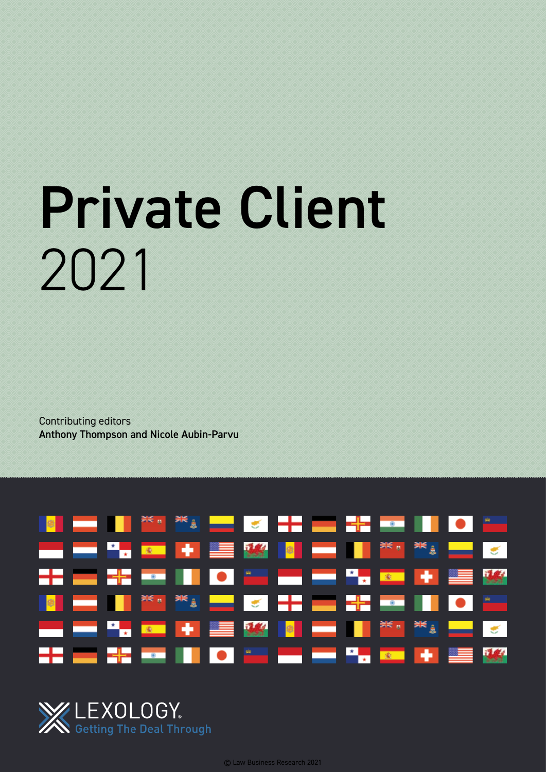# Private Client 2021

Contributing editors Anthony Thompson and Nicole Aubin-Parvu



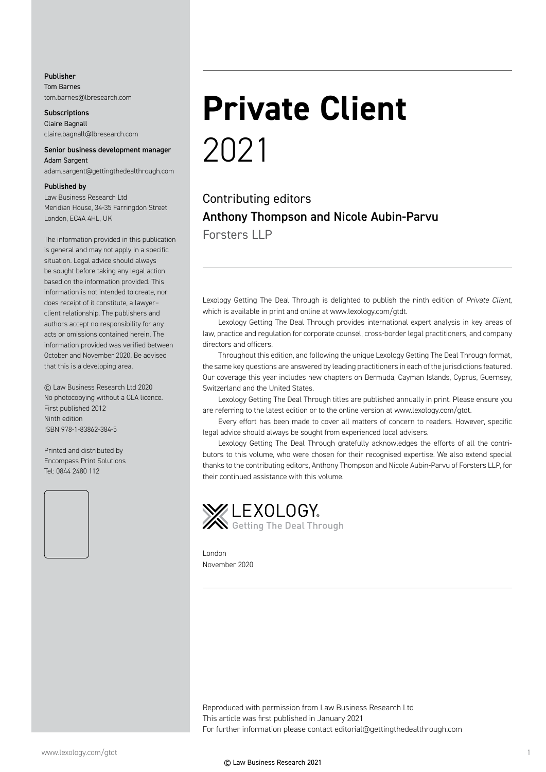#### Publisher Tom Barnes tom.barnes@lbresearch.com

**Subscriptions** Claire Bagnall claire.bagnall@lbresearch.com

#### Senior business development manager Adam Sargent

adam.sargent@gettingthedealthrough.com

#### Published by

Law Business Research Ltd Meridian House, 34-35 Farringdon Street London, EC4A 4HL, UK

The information provided in this publication is general and may not apply in a specific situation. Legal advice should always be sought before taking any legal action based on the information provided. This information is not intended to create, nor does receipt of it constitute, a lawyer– client relationship. The publishers and authors accept no responsibility for any acts or omissions contained herein. The information provided was verified between October and November 2020. Be advised that this is a developing area.

© Law Business Research Ltd 2020 No photocopying without a CLA licence. First published 2012 Ninth edition ISBN 978-1-83862-384-5

Printed and distributed by Encompass Print Solutions Tel: 0844 2480 112



### **Private Client** 2021

Contributing editors Anthony Thompson and Nicole Aubin-Parvu Forsters  $II$  P

Lexology Getting The Deal Through is delighted to publish the ninth edition of *Private Client*, which is available in print and online at www.lexology.com/gtdt.

Lexology Getting The Deal Through provides international expert analysis in key areas of law, practice and regulation for corporate counsel, cross-border legal practitioners, and company directors and officers.

Throughout this edition, and following the unique Lexology Getting The Deal Through format, the same key questions are answered by leading practitioners in each of the jurisdictions featured. Our coverage this year includes new chapters on Bermuda, Cayman Islands, Cyprus, Guernsey, Switzerland and the United States.

Lexology Getting The Deal Through titles are published annually in print. Please ensure you are referring to the latest edition or to the online version at www.lexology.com/gtdt.

Every effort has been made to cover all matters of concern to readers. However, specific legal advice should always be sought from experienced local advisers.

Lexology Getting The Deal Through gratefully acknowledges the efforts of all the contributors to this volume, who were chosen for their recognised expertise. We also extend special thanks to the contributing editors, Anthony Thompson and Nicole Aubin-Parvu of Forsters LLP, for their continued assistance with this volume.



London November 2020

Reproduced with permission from Law Business Research Ltd This article was first published in January 2021 For further information please contact editorial@gettingthedealthrough.com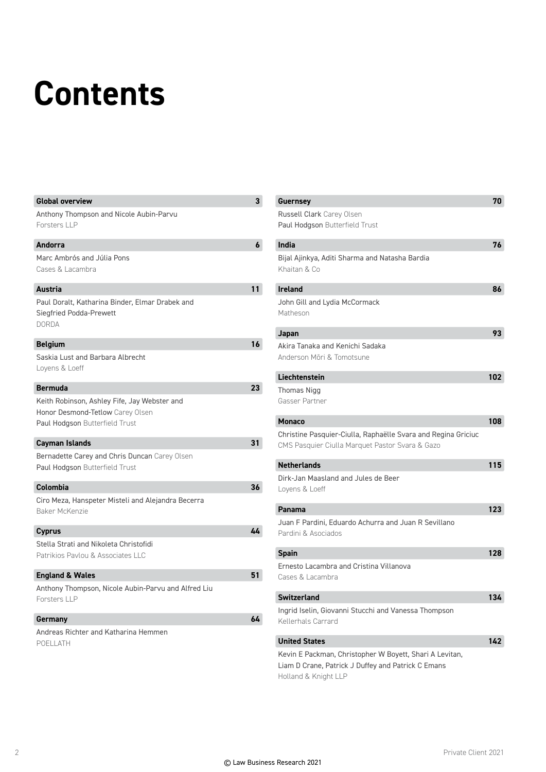# **Contents**

| <b>Global overview</b>                                                                                             | 3  |
|--------------------------------------------------------------------------------------------------------------------|----|
| Anthony Thompson and Nicole Aubin-Parvu<br><b>Forsters LLP</b>                                                     |    |
| <b>Andorra</b>                                                                                                     | 6  |
| Marc Ambrós and Júlia Pons<br>Cases & Lacambra                                                                     |    |
| <b>Austria</b>                                                                                                     | 11 |
| Paul Doralt, Katharina Binder, Elmar Drabek and<br>Siegfried Podda-Prewett<br><b>DORDA</b>                         |    |
| 16<br><b>Belgium</b>                                                                                               |    |
| Saskia Lust and Barbara Albrecht<br>Loyens & Loeff                                                                 |    |
| 23<br><b>Bermuda</b>                                                                                               |    |
| Keith Robinson, Ashley Fife, Jay Webster and<br>Honor Desmond-Tetlow Carey Olsen<br>Paul Hodgson Butterfield Trust |    |
| 31<br>Cayman Islands                                                                                               |    |
| Bernadette Carey and Chris Duncan Carey Olsen<br>Paul Hodgson Butterfield Trust                                    |    |
| 36<br>Colombia                                                                                                     |    |
| Ciro Meza, Hanspeter Misteli and Alejandra Becerra<br>Baker McKenzie                                               |    |
| 44<br><b>Cyprus</b>                                                                                                |    |
| Stella Strati and Nikoleta Christofidi<br>Patrikios Paylou & Associates LLC                                        |    |
| 51<br><b>England &amp; Wales</b>                                                                                   |    |
| Anthony Thompson, Nicole Aubin-Parvu and Alfred Liu<br>Forsters LLP                                                |    |
| 64<br>Germany                                                                                                      |    |
| Andreas Richter and Katharina Hemmen<br>POELLATH                                                                   |    |

| <b>Guernsey</b>                                               | 70  |
|---------------------------------------------------------------|-----|
| <b>Russell Clark</b> Carey Olsen                              |     |
| Paul Hodgson Butterfield Trust                                |     |
| India                                                         | 76  |
| Bijal Ajinkya, Aditi Sharma and Natasha Bardia                |     |
| Khaitan & Co                                                  |     |
|                                                               |     |
| <b>Ireland</b>                                                | 86  |
| John Gill and Lydia McCormack                                 |     |
| Matheson                                                      |     |
| Japan                                                         | 93  |
| Akira Tanaka and Kenichi Sadaka                               |     |
| Anderson Möri & Tomotsune                                     |     |
|                                                               |     |
| Liechtenstein                                                 | 102 |
| Thomas Nigg                                                   |     |
| Gasser Partner                                                |     |
| <b>Monaco</b>                                                 | 108 |
| Christine Pasquier-Ciulla, Raphaëlle Svara and Regina Griciuc |     |
| CMS Pasquier Ciulla Marquet Pastor Svara & Gazo               |     |
| <b>Netherlands</b>                                            | 115 |
| Dirk-Jan Maasland and Jules de Beer                           |     |
| Loyens & Loeff                                                |     |
|                                                               |     |
| Panama                                                        | 123 |
| Juan F Pardini, Eduardo Achurra and Juan R Sevillano          |     |
| Pardini & Asociados                                           |     |
| <b>Spain</b>                                                  | 128 |
| Ernesto Lacambra and Cristina Villanova                       |     |
| Cases & Lacambra                                              |     |
|                                                               |     |
| <b>Switzerland</b>                                            | 134 |
| Ingrid Iselin, Giovanni Stucchi and Vanessa Thompson          |     |
| Kellerhals Carrard                                            |     |
| <b>United States</b>                                          | 142 |
| Kevin E Packman, Christopher W Boyett, Shari A Levitan,       |     |
| Liam D Crane, Patrick J Duffey and Patrick C Emans            |     |
| Holland & Knight LLP                                          |     |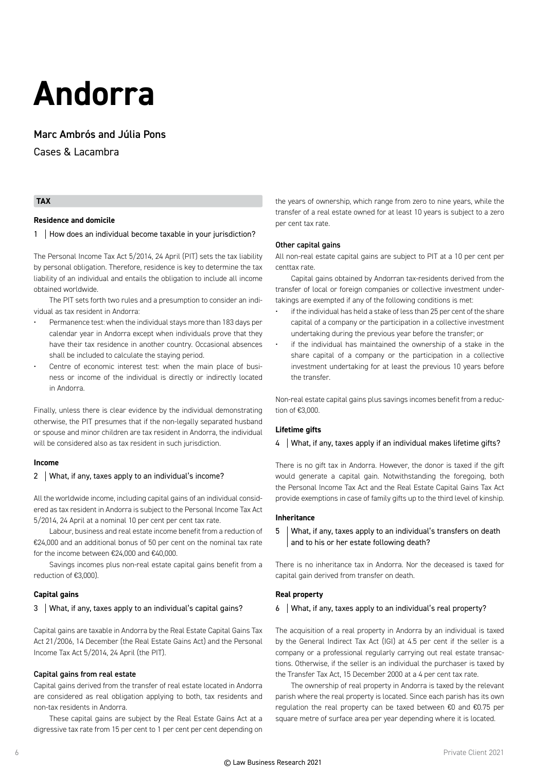## **Andorra**

#### Marc Ambrós and Júlia Pons

Cases & Lacambra

#### **TAX**

#### **Residence and domicile**

#### 1 | How does an individual become taxable in your jurisdiction?

The Personal Income Tax Act 5/2014, 24 April (PIT) sets the tax liability by personal obligation. Therefore, residence is key to determine the tax liability of an individual and entails the obligation to include all income obtained worldwide.

The PIT sets forth two rules and a presumption to consider an individual as tax resident in Andorra:

- Permanence test: when the individual stays more than 183 days per calendar year in Andorra except when individuals prove that they have their tax residence in another country. Occasional absences shall be included to calculate the staying period.
- Centre of economic interest test: when the main place of business or income of the individual is directly or indirectly located in Andorra.

Finally, unless there is clear evidence by the individual demonstrating otherwise, the PIT presumes that if the non-legally separated husband or spouse and minor children are tax resident in Andorra, the individual will be considered also as tax resident in such jurisdiction.

#### **Income**

#### 2 | What, if any, taxes apply to an individual's income?

All the worldwide income, including capital gains of an individual considered as tax resident in Andorra is subject to the Personal Income Tax Act 5/2014, 24 April at a nominal 10 per cent per cent tax rate.

Labour, business and real estate income benefit from a reduction of €24,000 and an additional bonus of 50 per cent on the nominal tax rate for the income between €24,000 and €40,000.

Savings incomes plus non-real estate capital gains benefit from a reduction of €3,000).

#### **Capital gains**

#### 3 What, if any, taxes apply to an individual's capital gains?

Capital gains are taxable in Andorra by the Real Estate Capital Gains Tax Act 21/2006, 14 December (the Real Estate Gains Act) and the Personal Income Tax Act 5/2014, 24 April (the PIT).

#### Capital gains from real estate

Capital gains derived from the transfer of real estate located in Andorra are considered as real obligation applying to both, tax residents and non-tax residents in Andorra.

These capital gains are subject by the Real Estate Gains Act at a digressive tax rate from 15 per cent to 1 per cent per cent depending on

the years of ownership, which range from zero to nine years, while the transfer of a real estate owned for at least 10 years is subject to a zero per cent tax rate.

#### Other capital gains

All non-real estate capital gains are subject to PIT at a 10 per cent per centtax rate.

Capital gains obtained by Andorran tax-residents derived from the transfer of local or foreign companies or collective investment undertakings are exempted if any of the following conditions is met:

- if the individual has held a stake of less than 25 per cent of the share capital of a company or the participation in a collective investment undertaking during the previous year before the transfer; or
- if the individual has maintained the ownership of a stake in the share capital of a company or the participation in a collective investment undertaking for at least the previous 10 years before the transfer.

Non-real estate capital gains plus savings incomes benefit from a reduction of €3,000.

#### **Lifetime gifts**

#### 4 What, if any, taxes apply if an individual makes lifetime gifts?

There is no gift tax in Andorra. However, the donor is taxed if the gift would generate a capital gain. Notwithstanding the foregoing, both the Personal Income Tax Act and the Real Estate Capital Gains Tax Act provide exemptions in case of family gifts up to the third level of kinship.

#### **Inheritance**

#### 5 What, if any, taxes apply to an individual's transfers on death and to his or her estate following death?

There is no inheritance tax in Andorra. Nor the deceased is taxed for capital gain derived from transfer on death.

#### **Real property**

#### 6 What, if any, taxes apply to an individual's real property?

The acquisition of a real property in Andorra by an individual is taxed by the General Indirect Tax Act (IGI) at 4.5 per cent if the seller is a company or a professional regularly carrying out real estate transactions. Otherwise, if the seller is an individual the purchaser is taxed by the Transfer Tax Act, 15 December 2000 at a 4 per cent tax rate.

The ownership of real property in Andorra is taxed by the relevant parish where the real property is located. Since each parish has its own regulation the real property can be taxed between €0 and €0.75 per square metre of surface area per year depending where it is located.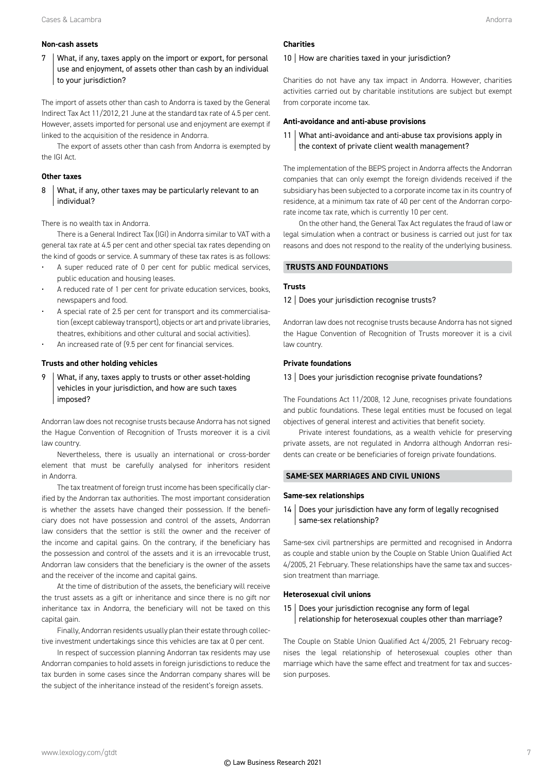#### **Non-cash assets**

7 What, if any, taxes apply on the import or export, for personal use and enjoyment, of assets other than cash by an individual to your jurisdiction?

The import of assets other than cash to Andorra is taxed by the General Indirect Tax Act 11/2012, 21 June at the standard tax rate of 4.5 per cent. However, assets imported for personal use and enjoyment are exempt if linked to the acquisition of the residence in Andorra.

The export of assets other than cash from Andorra is exempted by the IGI Act.

#### **Other taxes**

#### 8 What, if any, other taxes may be particularly relevant to an individual?

There is no wealth tax in Andorra.

There is a General Indirect Tax (IGI) in Andorra similar to VAT with a general tax rate at 4.5 per cent and other special tax rates depending on the kind of goods or service. A summary of these tax rates is as follows:

- A super reduced rate of 0 per cent for public medical services, public education and housing leases.
- A reduced rate of 1 per cent for private education services, books, newspapers and food.
- A special rate of 2.5 per cent for transport and its commercialisation (except cableway transport), objects or art and private libraries, theatres, exhibitions and other cultural and social activities).
- An increased rate of (9.5 per cent for financial services.

#### **Trusts and other holding vehicles**

9 What, if any, taxes apply to trusts or other asset-holding vehicles in your jurisdiction, and how are such taxes imposed?

Andorran law does not recognise trusts because Andorra has not signed the Hague Convention of Recognition of Trusts moreover it is a civil law country.

Nevertheless, there is usually an international or cross-border element that must be carefully analysed for inheritors resident in Andorra.

The tax treatment of foreign trust income has been specifically clarified by the Andorran tax authorities. The most important consideration is whether the assets have changed their possession. If the beneficiary does not have possession and control of the assets, Andorran law considers that the settlor is still the owner and the receiver of the income and capital gains. On the contrary, if the beneficiary has the possession and control of the assets and it is an irrevocable trust, Andorran law considers that the beneficiary is the owner of the assets and the receiver of the income and capital gains.

At the time of distribution of the assets, the beneficiary will receive the trust assets as a gift or inheritance and since there is no gift nor inheritance tax in Andorra, the beneficiary will not be taxed on this capital gain.

Finally, Andorran residents usually plan their estate through collective investment undertakings since this vehicles are tax at 0 per cent.

In respect of succession planning Andorran tax residents may use Andorran companies to hold assets in foreign jurisdictions to reduce the tax burden in some cases since the Andorran company shares will be the subject of the inheritance instead of the resident's foreign assets.

#### **Charities**

#### 10 | How are charities taxed in your jurisdiction?

Charities do not have any tax impact in Andorra. However, charities activities carried out by charitable institutions are subject but exempt from corporate income tax.

#### **Anti-avoidance and anti-abuse provisions**

11 What anti-avoidance and anti-abuse tax provisions apply in the context of private client wealth management?

The implementation of the BEPS project in Andorra affects the Andorran companies that can only exempt the foreign dividends received if the subsidiary has been subjected to a corporate income tax in its country of residence, at a minimum tax rate of 40 per cent of the Andorran corporate income tax rate, which is currently 10 per cent.

On the other hand, the General Tax Act regulates the fraud of law or legal simulation when a contract or business is carried out just for tax reasons and does not respond to the reality of the underlying business.

#### **TRUSTS AND FOUNDATIONS**

#### **Trusts**

#### 12 | Does your jurisdiction recognise trusts?

Andorran law does not recognise trusts because Andorra has not signed the Hague Convention of Recognition of Trusts moreover it is a civil law country.

#### **Private foundations**

#### 13 Does your jurisdiction recognise private foundations?

The Foundations Act 11/2008, 12 June, recognises private foundations and public foundations. These legal entities must be focused on legal objectives of general interest and activities that benefit society.

Private interest foundations, as a wealth vehicle for preserving private assets, are not regulated in Andorra although Andorran residents can create or be beneficiaries of foreign private foundations.

#### **SAME-SEX MARRIAGES AND CIVIL UNIONS**

#### **Same-sex relationships**

14 Does your jurisdiction have any form of legally recognised same-sex relationship?

Same-sex civil partnerships are permitted and recognised in Andorra as couple and stable union by the Couple on Stable Union Qualified Act 4/2005, 21 February. These relationships have the same tax and succession treatment than marriage.

#### **Heterosexual civil unions**

15 | Does your jurisdiction recognise any form of legal relationship for heterosexual couples other than marriage?

The Couple on Stable Union Qualified Act 4/2005, 21 February recognises the legal relationship of heterosexual couples other than marriage which have the same effect and treatment for tax and succession purposes.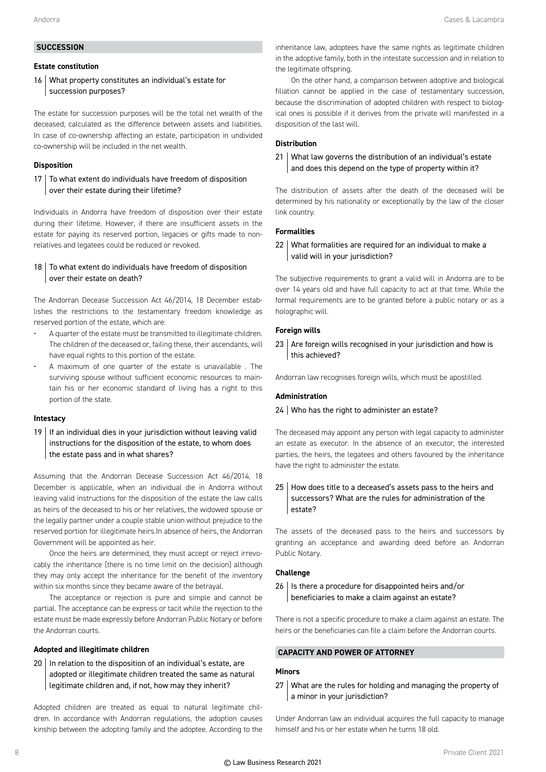#### **SUCCESSION**

#### **Estate constitution**

16 What property constitutes an individual's estate for succession purposes?

The estate for succession purposes will be the total net wealth of the deceased, calculated as the difference between assets and liabilities. In case of co-ownership affecting an estate, participation in undivided co-ownership will be included in the net wealth.

#### **Disposition**

#### 17 To what extent do individuals have freedom of disposition over their estate during their lifetime?

Individuals in Andorra have freedom of disposition over their estate during their lifetime. However, if there are insufficient assets in the estate for paying its reserved portion, legacies or gifts made to nonrelatives and legatees could be reduced or revoked.

#### 18  $\vert$  To what extent do individuals have freedom of disposition over their estate on death?

The Andorran Decease Succession Act 46/2014, 18 December establishes the restrictions to the testamentary freedom knowledge as reserved portion of the estate, which are:

- A quarter of the estate must be transmitted to illegitimate children. The children of the deceased or, failing these, their ascendants, will have equal rights to this portion of the estate.
- A maximum of one quarter of the estate is unavailable . The surviving spouse without sufficient economic resources to maintain his or her economic standard of living has a right to this portion of the state.

#### **Intestacy**

 $19$  If an individual dies in your jurisdiction without leaving valid instructions for the disposition of the estate, to whom does the estate pass and in what shares?

Assuming that the Andorran Decease Succession Act 46/2014, 18 December is applicable, when an individual die in Andorra without leaving valid instructions for the disposition of the estate the law calls as heirs of the deceased to his or her relatives, the widowed spouse or the legally partner under a couple stable union without prejudice to the reserved portion for illegitimate heirs.In absence of heirs, the Andorran Government will be appointed as heir.

Once the heirs are determined, they must accept or reject irrevocably the inheritance (there is no time limit on the decision) although they may only accept the inheritance for the benefit of the inventory within six months since they became aware of the betrayal.

The acceptance or rejection is pure and simple and cannot be partial. The acceptance can be express or tacit while the rejection to the estate must be made expressly before Andorran Public Notary or before the Andorran courts.

#### **Adopted and illegitimate children**

 $20$  | In relation to the disposition of an individual's estate, are adopted or illegitimate children treated the same as natural legitimate children and, if not, how may they inherit?

Adopted children are treated as equal to natural legitimate children. In accordance with Andorran regulations, the adoption causes kinship between the adopting family and the adoptee. According to the

inheritance law, adoptees have the same rights as legitimate children in the adoptive family, both in the intestate succession and in relation to the legitimate offspring.

On the other hand, a comparison between adoptive and biological filiation cannot be applied in the case of testamentary succession, because the discrimination of adopted children with respect to biological ones is possible if it derives from the private will manifested in a disposition of the last will.

#### **Distribution**

21 What law governs the distribution of an individual's estate and does this depend on the type of property within it?

The distribution of assets after the death of the deceased will be determined by his nationality or exceptionally by the law of the closer link country.

#### **Formalities**

22 What formalities are required for an individual to make a valid will in your jurisdiction?

The subjective requirements to grant a valid will in Andorra are to be over 14 years old and have full capacity to act at that time. While the formal requirements are to be granted before a public notary or as a holographic will.

#### **Foreign wills**

23 Are foreign wills recognised in your jurisdiction and how is this achieved?

Andorran law recognises foreign wills, which must be apostilled.

#### **Administration**

#### 24 Who has the right to administer an estate?

The deceased may appoint any person with legal capacity to administer an estate as executor. In the absence of an executor, the interested parties, the heirs, the legatees and others favoured by the inheritance have the right to administer the estate.

#### 25 How does title to a deceased's assets pass to the heirs and successors? What are the rules for administration of the estate?

The assets of the deceased pass to the heirs and successors by granting an acceptance and awarding deed before an Andorran Public Notary.

#### **Challenge**

26 | Is there a procedure for disappointed heirs and/or beneficiaries to make a claim against an estate?

There is not a specific procedure to make a claim against an estate. The heirs or the beneficiaries can file a claim before the Andorran courts.

#### **CAPACITY AND POWER OF ATTORNEY**

#### **Minors**

27 What are the rules for holding and managing the property of a minor in your jurisdiction?

Under Andorran law an individual acquires the full capacity to manage himself and his or her estate when he turns 18 old.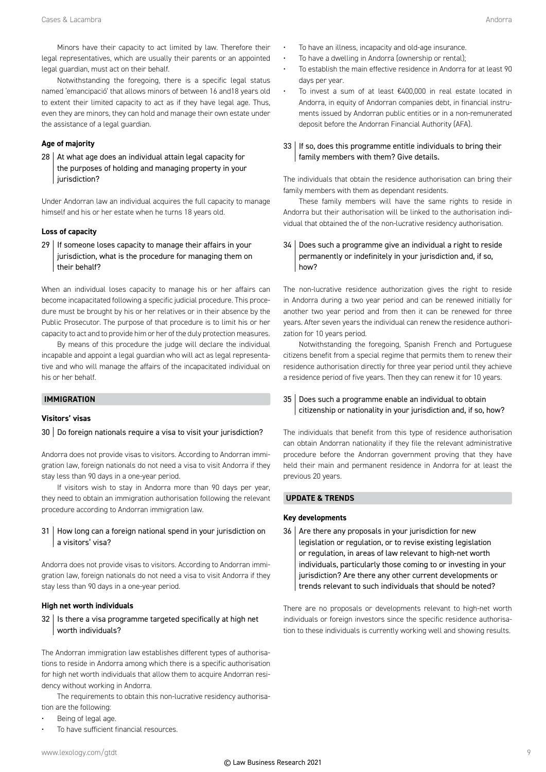Minors have their capacity to act limited by law. Therefore their legal representatives, which are usually their parents or an appointed legal guardian, must act on their behalf.

Notwithstanding the foregoing, there is a specific legal status named 'emancipació' that allows minors of between 16 and18 years old to extent their limited capacity to act as if they have legal age. Thus, even they are minors, they can hold and manage their own estate under the assistance of a legal guardian.

#### **Age of majority**

 $28$  At what age does an individual attain legal capacity for the purposes of holding and managing property in your jurisdiction?

Under Andorran law an individual acquires the full capacity to manage himself and his or her estate when he turns 18 years old.

#### **Loss of capacity**

 $29$  | If someone loses capacity to manage their affairs in your jurisdiction, what is the procedure for managing them on their behalf?

When an individual loses capacity to manage his or her affairs can become incapacitated following a specific judicial procedure. This procedure must be brought by his or her relatives or in their absence by the Public Prosecutor. The purpose of that procedure is to limit his or her capacity to act and to provide him or her of the duly protection measures.

By means of this procedure the judge will declare the individual incapable and appoint a legal guardian who will act as legal representative and who will manage the affairs of the incapacitated individual on his or her behalf.

#### **IMMIGRATION**

#### **Visitors' visas**

#### $30$  Do foreign nationals require a visa to visit your jurisdiction?

Andorra does not provide visas to visitors. According to Andorran immigration law, foreign nationals do not need a visa to visit Andorra if they stay less than 90 days in a one-year period.

If visitors wish to stay in Andorra more than 90 days per year, they need to obtain an immigration authorisation following the relevant procedure according to Andorran immigration law.

#### 31 | How long can a foreign national spend in your jurisdiction on a visitors' visa?

Andorra does not provide visas to visitors. According to Andorran immigration law, foreign nationals do not need a visa to visit Andorra if they stay less than 90 days in a one-year period.

#### **High net worth individuals**

 $32$  | Is there a visa programme targeted specifically at high net worth individuals?

The Andorran immigration law establishes different types of authorisations to reside in Andorra among which there is a specific authorisation for high net worth individuals that allow them to acquire Andorran residency without working in Andorra.

The requirements to obtain this non-lucrative residency authorisation are the following:

- Being of legal age.
- To have sufficient financial resources.
- To have an illness, incapacity and old-age insurance.
- To have a dwelling in Andorra (ownership or rental);
- To establish the main effective residence in Andorra for at least 90 days per year.
- To invest a sum of at least €400,000 in real estate located in Andorra, in equity of Andorran companies debt, in financial instruments issued by Andorran public entities or in a non-remunerated deposit before the Andorran Financial Authority (AFA).

#### $33$  | If so, does this programme entitle individuals to bring their family members with them? Give details.

The individuals that obtain the residence authorisation can bring their family members with them as dependant residents.

These family members will have the same rights to reside in Andorra but their authorisation will be linked to the authorisation individual that obtained the of the non-lucrative residency authorisation.

#### 34 Does such a programme give an individual a right to reside permanently or indefinitely in your jurisdiction and, if so, how?

The non-lucrative residence authorization gives the right to reside in Andorra during a two year period and can be renewed initially for another two year period and from then it can be renewed for three years. After seven years the individual can renew the residence authorization for 10 years period.

Notwithstanding the foregoing, Spanish French and Portuguese citizens benefit from a special regime that permits them to renew their residence authorisation directly for three year period until they achieve a residence period of five years. Then they can renew it for 10 years.

#### 35 Does such a programme enable an individual to obtain citizenship or nationality in your jurisdiction and, if so, how?

The individuals that benefit from this type of residence authorisation can obtain Andorran nationality if they file the relevant administrative procedure before the Andorran government proving that they have held their main and permanent residence in Andorra for at least the previous 20 years.

#### **UPDATE & TRENDS**

#### **Key developments**

 $36$  Are there any proposals in your jurisdiction for new legislation or regulation, or to revise existing legislation or regulation, in areas of law relevant to high-net worth individuals, particularly those coming to or investing in your jurisdiction? Are there any other current developments or trends relevant to such individuals that should be noted?

There are no proposals or developments relevant to high-net worth individuals or foreign investors since the specific residence authorisation to these individuals is currently working well and showing results.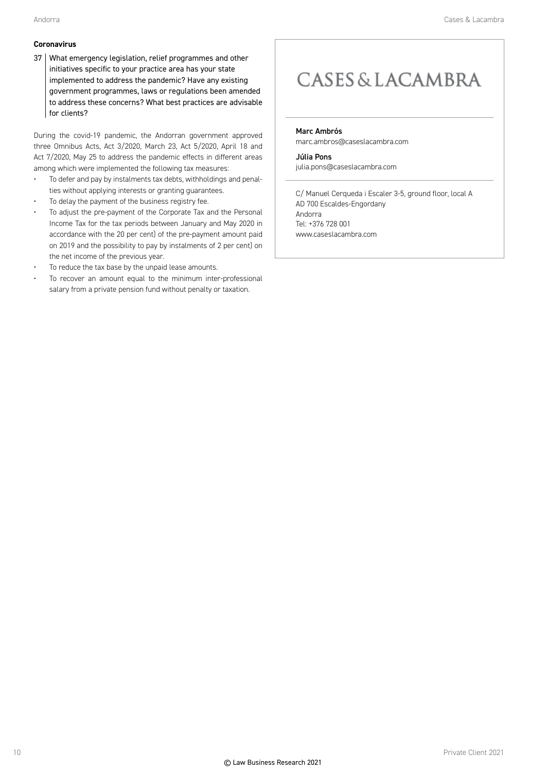#### **Coronavirus**

37 What emergency legislation, relief programmes and other initiatives specific to your practice area has your state implemented to address the pandemic? Have any existing government programmes, laws or regulations been amended to address these concerns? What best practices are advisable for clients?

During the covid-19 pandemic, the Andorran government approved three Omnibus Acts, Act 3/2020, March 23, Act 5/2020, April 18 and Act 7/2020, May 25 to address the pandemic effects in different areas among which were implemented the following tax measures:

- To defer and pay by instalments tax debts, withholdings and penalties without applying interests or granting guarantees.
- To delay the payment of the business registry fee.
- To adjust the pre-payment of the Corporate Tax and the Personal Income Tax for the tax periods between January and May 2020 in accordance with the 20 per cent) of the pre-payment amount paid on 2019 and the possibility to pay by instalments of 2 per cent) on the net income of the previous year.
- To reduce the tax base by the unpaid lease amounts.
- To recover an amount equal to the minimum inter-professional salary from a private pension fund without penalty or taxation.

### **CASES & LACAMBRA**

Marc Ambrós

marc.ambros@caseslacambra.com

Júlia Pons julia.pons@caseslacambra.com

C/ Manuel Cerqueda i Escaler 3-5, ground floor, local A AD 700 Escaldes-Engordany Andorra Tel: +376 728 001 www.caseslacambra.com